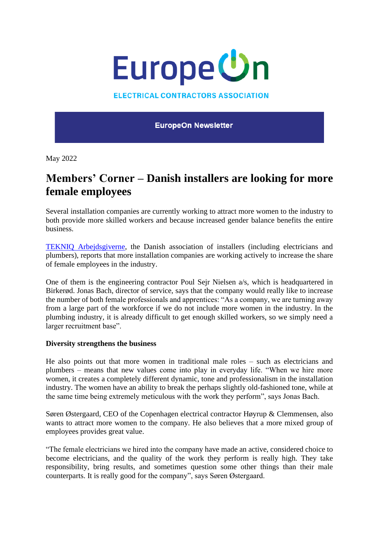

## **ELECTRICAL CONTRACTORS ASSOCIATION**

**EuropeOn Newsletter** 

May 2022

## **Members' Corner – Danish installers are looking for more female employees**

Several installation companies are currently working to attract more women to the industry to both provide more skilled workers and because increased gender balance benefits the entire business.

[TEKNIQ Arbejdsgiverne,](https://www.tekniq.dk/) the Danish association of installers (including electricians and plumbers), reports that more installation companies are working actively to increase the share of female employees in the industry.

One of them is the engineering contractor Poul Sejr Nielsen a/s, which is headquartered in Birkerød. Jonas Bach, director of service, says that the company would really like to increase the number of both female professionals and apprentices: "As a company, we are turning away from a large part of the workforce if we do not include more women in the industry. In the plumbing industry, it is already difficult to get enough skilled workers, so we simply need a larger recruitment base".

## **Diversity strengthens the business**

He also points out that more women in traditional male roles – such as electricians and plumbers – means that new values come into play in everyday life. "When we hire more women, it creates a completely different dynamic, tone and professionalism in the installation industry. The women have an ability to break the perhaps slightly old-fashioned tone, while at the same time being extremely meticulous with the work they perform", says Jonas Bach.

Søren Østergaard, CEO of the Copenhagen electrical contractor Høyrup & Clemmensen, also wants to attract more women to the company. He also believes that a more mixed group of employees provides great value.

"The female electricians we hired into the company have made an active, considered choice to become electricians, and the quality of the work they perform is really high. They take responsibility, bring results, and sometimes question some other things than their male counterparts. It is really good for the company", says Søren Østergaard.